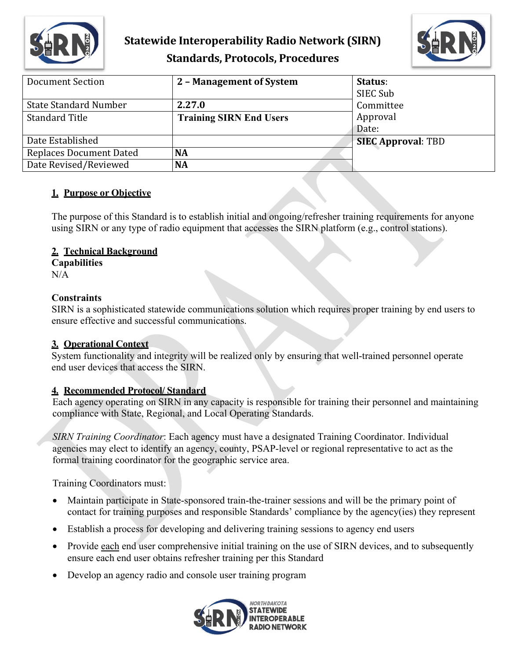



| Document Section               | 2 - Management of System       | Status:<br>SIEC Sub       |
|--------------------------------|--------------------------------|---------------------------|
| <b>State Standard Number</b>   | 2.27.0                         | Committee                 |
| <b>Standard Title</b>          | <b>Training SIRN End Users</b> | Approval                  |
|                                |                                | Date:                     |
| Date Established               |                                | <b>SIEC Approval: TBD</b> |
| <b>Replaces Document Dated</b> | <b>NA</b>                      |                           |
| Date Revised/Reviewed          | <b>NA</b>                      |                           |

#### **1. Purpose or Objective**

The purpose of this Standard is to establish initial and ongoing/refresher training requirements for anyone using SIRN or any type of radio equipment that accesses the SIRN platform (e.g., control stations).

#### **2. Technical Background**

**Capabilities**

N/A

#### **Constraints**

SIRN is a sophisticated statewide communications solution which requires proper training by end users to ensure effective and successful communications.

## **3. Operational Context**

System functionality and integrity will be realized only by ensuring that well-trained personnel operate end user devices that access the SIRN.

## **4. Recommended Protocol/ Standard**

Each agency operating on SIRN in any capacity is responsible for training their personnel and maintaining compliance with State, Regional, and Local Operating Standards.

*SIRN Training Coordinator*: Each agency must have a designated Training Coordinator. Individual agencies may elect to identify an agency, county, PSAP-level or regional representative to act as the formal training coordinator for the geographic service area.

Training Coordinators must:

- Maintain participate in State-sponsored train-the-trainer sessions and will be the primary point of contact for training purposes and responsible Standards' compliance by the agency(ies) they represent
- Establish a process for developing and delivering training sessions to agency end users
- Provide each end user comprehensive initial training on the use of SIRN devices, and to subsequently ensure each end user obtains refresher training per this Standard
- Develop an agency radio and console user training program

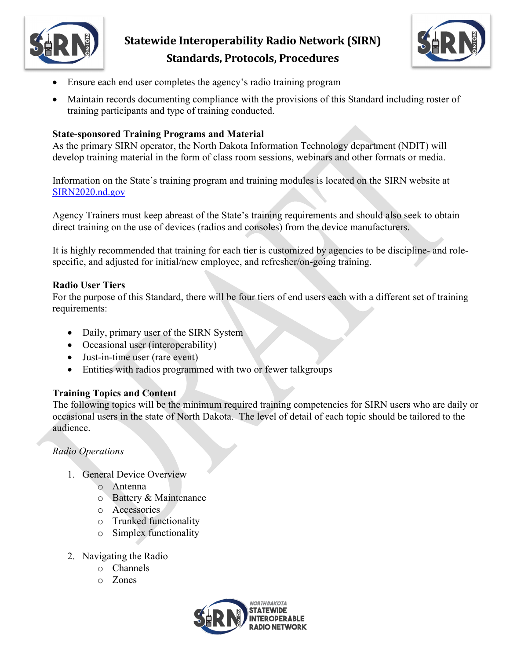



- Ensure each end user completes the agency's radio training program
- Maintain records documenting compliance with the provisions of this Standard including roster of training participants and type of training conducted.

#### **State-sponsored Training Programs and Material**

As the primary SIRN operator, the North Dakota Information Technology department (NDIT) will develop training material in the form of class room sessions, webinars and other formats or media.

Information on the State's training program and training modules is located on the SIRN website at [SIRN2020.nd.gov](https://www.ndit.nd.gov/statewide-interoperability-executive-committee-siec/sirn-2020)

Agency Trainers must keep abreast of the State's training requirements and should also seek to obtain direct training on the use of devices (radios and consoles) from the device manufacturers.

It is highly recommended that training for each tier is customized by agencies to be discipline- and rolespecific, and adjusted for initial/new employee, and refresher/on-going training.

#### **Radio User Tiers**

For the purpose of this Standard, there will be four tiers of end users each with a different set of training requirements:

- Daily, primary user of the SIRN System
- Occasional user (interoperability)
- Just-in-time user (rare event)
- Entities with radios programmed with two or fewer talkgroups

#### **Training Topics and Content**

The following topics will be the minimum required training competencies for SIRN users who are daily or occasional users in the state of North Dakota. The level of detail of each topic should be tailored to the audience.

#### *Radio Operations*

- 1. General Device Overview
	- o Antenna
	- o Battery & Maintenance
	- o Accessories
	- o Trunked functionality
	- o Simplex functionality
- 2. Navigating the Radio
	- o Channels
	- o Zones

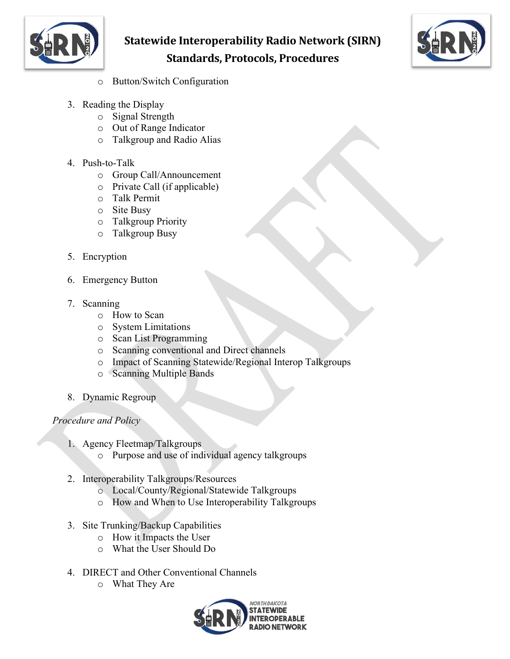



- o Button/Switch Configuration
- 3. Reading the Display
	- o Signal Strength
	- o Out of Range Indicator
	- o Talkgroup and Radio Alias
- 4. Push-to-Talk
	- o Group Call/Announcement
	- o Private Call (if applicable)
	- o Talk Permit
	- o Site Busy
	- o Talkgroup Priority
	- o Talkgroup Busy
- 5. Encryption
- 6. Emergency Button
- 7. Scanning
	- o How to Scan
	- o System Limitations
	- o Scan List Programming
	- o Scanning conventional and Direct channels
	- o Impact of Scanning Statewide/Regional Interop Talkgroups
	- o Scanning Multiple Bands
- 8. Dynamic Regroup

#### *Procedure and Policy*

- 1. Agency Fleetmap/Talkgroups
	- o Purpose and use of individual agency talkgroups
- 2. Interoperability Talkgroups/Resources
	- o Local/County/Regional/Statewide Talkgroups
	- o How and When to Use Interoperability Talkgroups
- 3. Site Trunking/Backup Capabilities
	- o How it Impacts the User
	- o What the User Should Do
- 4. DIRECT and Other Conventional Channels
	- o What They Are